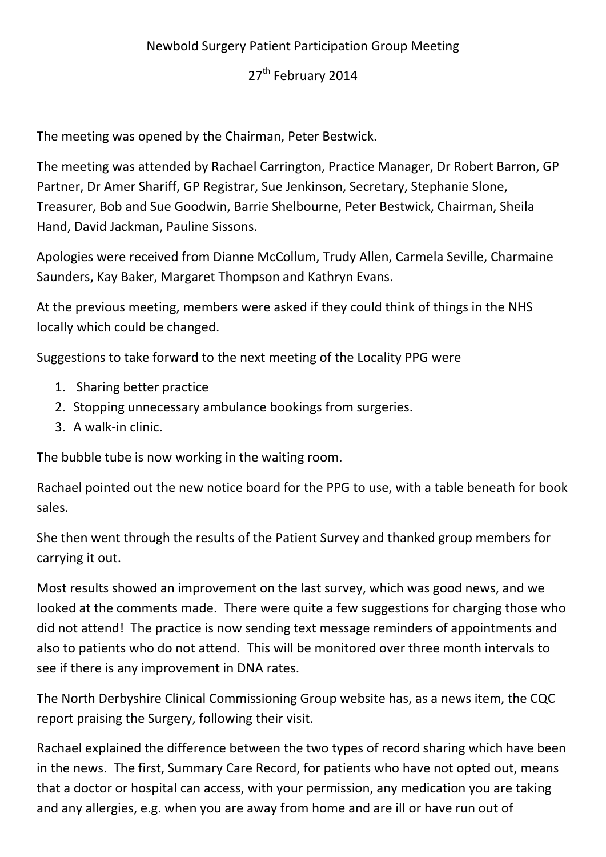## Newbold Surgery Patient Participation Group Meeting

## 27<sup>th</sup> February 2014

The meeting was opened by the Chairman, Peter Bestwick.

The meeting was attended by Rachael Carrington, Practice Manager, Dr Robert Barron, GP Partner, Dr Amer Shariff, GP Registrar, Sue Jenkinson, Secretary, Stephanie Slone, Treasurer, Bob and Sue Goodwin, Barrie Shelbourne, Peter Bestwick, Chairman, Sheila Hand, David Jackman, Pauline Sissons.

Apologies were received from Dianne McCollum, Trudy Allen, Carmela Seville, Charmaine Saunders, Kay Baker, Margaret Thompson and Kathryn Evans.

At the previous meeting, members were asked if they could think of things in the NHS locally which could be changed.

Suggestions to take forward to the next meeting of the Locality PPG were

- 1. Sharing better practice
- 2. Stopping unnecessary ambulance bookings from surgeries.
- 3. A walk-in clinic.

The bubble tube is now working in the waiting room.

Rachael pointed out the new notice board for the PPG to use, with a table beneath for book sales.

She then went through the results of the Patient Survey and thanked group members for carrying it out.

Most results showed an improvement on the last survey, which was good news, and we looked at the comments made. There were quite a few suggestions for charging those who did not attend! The practice is now sending text message reminders of appointments and also to patients who do not attend. This will be monitored over three month intervals to see if there is any improvement in DNA rates.

The North Derbyshire Clinical Commissioning Group website has, as a news item, the CQC report praising the Surgery, following their visit.

Rachael explained the difference between the two types of record sharing which have been in the news. The first, Summary Care Record, for patients who have not opted out, means that a doctor or hospital can access, with your permission, any medication you are taking and any allergies, e.g. when you are away from home and are ill or have run out of